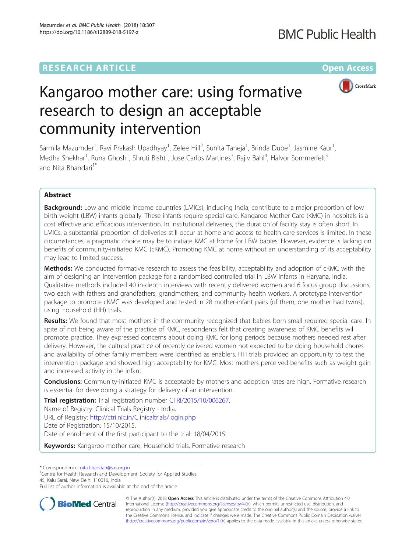## **RESEARCH ARTICLE Example 2014 12:30 The Community Community Community Community Community Community Community**



# Kangaroo mother care: using formative research to design an acceptable community intervention

Sarmila Mazumder<sup>1</sup>, Ravi Prakash Upadhyay<sup>1</sup>, Zelee Hill<sup>2</sup>, Sunita Taneja<sup>1</sup>, Brinda Dube<sup>1</sup>, Jasmine Kaur<sup>1</sup> , Medha Shekhar<sup>1</sup>, Runa Ghosh<sup>1</sup>, Shruti Bisht<sup>1</sup>, Jose Carlos Martines<sup>3</sup>, Rajiv Bahl<sup>4</sup>, Halvor Sommerfelt<sup>3</sup> and Nita Bhandari<sup>1\*</sup>

## Abstract

**Background:** Low and middle income countries (LMICs), including India, contribute to a major proportion of low birth weight (LBW) infants globally. These infants require special care. Kangaroo Mother Care (KMC) in hospitals is a cost effective and efficacious intervention. In institutional deliveries, the duration of facility stay is often short. In LMICs, a substantial proportion of deliveries still occur at home and access to health care services is limited. In these circumstances, a pragmatic choice may be to initiate KMC at home for LBW babies. However, evidence is lacking on benefits of community-initiated KMC (cKMC). Promoting KMC at home without an understanding of its acceptability may lead to limited success.

Methods: We conducted formative research to assess the feasibility, acceptability and adoption of cKMC with the aim of designing an intervention package for a randomised controlled trial in LBW infants in Haryana, India. Qualitative methods included 40 in-depth interviews with recently delivered women and 6 focus group discussions, two each with fathers and grandfathers, grandmothers, and community health workers. A prototype intervention package to promote cKMC was developed and tested in 28 mother-infant pairs (of them, one mother had twins), using Household (HH) trials.

Results: We found that most mothers in the community recognized that babies born small required special care. In spite of not being aware of the practice of KMC, respondents felt that creating awareness of KMC benefits will promote practice. They expressed concerns about doing KMC for long periods because mothers needed rest after delivery. However, the cultural practice of recently delivered women not expected to be doing household chores and availability of other family members were identified as enablers. HH trials provided an opportunity to test the intervention package and showed high acceptability for KMC. Most mothers perceived benefits such as weight gain and increased activity in the infant.

**Conclusions:** Community-initiated KMC is acceptable by mothers and adoption rates are high. Formative research is essential for developing a strategy for delivery of an intervention.

Trial registration: Trial registration number [CTRI/2015/10/006267.](http://ctri.nic.in/Clinicaltrials/showallp.php?mid1=10860&EncHid=&userName=CTRI/2015/10/006267) Name of Registry: Clinical Trials Registry - India. URL of Registry: <http://ctri.nic.in/Clinicaltrials/login.php> Date of Registration: 15/10/2015.

Date of enrolment of the first participant to the trial: 18/04/2015.

Keywords: Kangaroo mother care, Household trials, Formative research

\* Correspondence: [nita.bhandari@sas.org.in](mailto:nita.bhandari@sas.org.in) <sup>1</sup>

<sup>1</sup> Centre for Health Research and Development, Society for Applied Studies,

45, Kalu Sarai, New Delhi 110016, India

Full list of author information is available at the end of the article



© The Author(s). 2018 Open Access This article is distributed under the terms of the Creative Commons Attribution 4.0 International License [\(http://creativecommons.org/licenses/by/4.0/](http://creativecommons.org/licenses/by/4.0/)), which permits unrestricted use, distribution, and reproduction in any medium, provided you give appropriate credit to the original author(s) and the source, provide a link to the Creative Commons license, and indicate if changes were made. The Creative Commons Public Domain Dedication waiver [\(http://creativecommons.org/publicdomain/zero/1.0/](http://creativecommons.org/publicdomain/zero/1.0/)) applies to the data made available in this article, unless otherwise stated.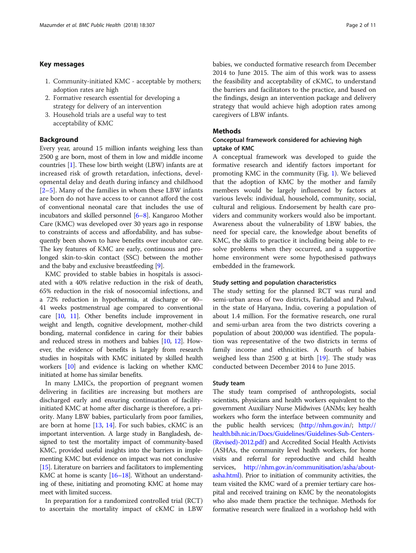## Key messages

- 1. Community-initiated KMC acceptable by mothers; adoption rates are high
- 2. Formative research essential for developing a strategy for delivery of an intervention
- 3. Household trials are a useful way to test acceptability of KMC

## Background

Every year, around 15 million infants weighing less than 2500 g are born, most of them in low and middle income countries [[1](#page-10-0)]. These low birth weight (LBW) infants are at increased risk of growth retardation, infections, developmental delay and death during infancy and childhood [[2](#page-10-0)–[5\]](#page-10-0). Many of the families in whom these LBW infants are born do not have access to or cannot afford the cost of conventional neonatal care that includes the use of incubators and skilled personnel [\[6](#page-10-0)–[8\]](#page-10-0). Kangaroo Mother Care (KMC) was developed over 30 years ago in response to constraints of access and affordability, and has subsequently been shown to have benefits over incubator care. The key features of KMC are early, continuous and prolonged skin-to-skin contact (SSC) between the mother and the baby and exclusive breastfeeding [\[9](#page-10-0)].

KMC provided to stable babies in hospitals is associated with a 40% relative reduction in the risk of death, 65% reduction in the risk of nosocomial infections, and a 72% reduction in hypothermia, at discharge or 40– 41 weeks postmenstrual age compared to conventional care [\[10,](#page-10-0) [11\]](#page-10-0). Other benefits include improvement in weight and length, cognitive development, mother-child bonding, maternal confidence in caring for their babies and reduced stress in mothers and babies [\[10,](#page-10-0) [12\]](#page-10-0). However, the evidence of benefits is largely from research studies in hospitals with KMC initiated by skilled health workers [\[10\]](#page-10-0) and evidence is lacking on whether KMC initiated at home has similar benefits.

In many LMICs, the proportion of pregnant women delivering in facilities are increasing but mothers are discharged early and ensuring continuation of facilityinitiated KMC at home after discharge is therefore, a priority. Many LBW babies, particularly from poor families, are born at home [\[13,](#page-10-0) [14](#page-10-0)]. For such babies, cKMC is an important intervention. A large study in Bangladesh, designed to test the mortality impact of community-based KMC, provided useful insights into the barriers in implementing KMC but evidence on impact was not conclusive [[15](#page-10-0)]. Literature on barriers and facilitators to implementing KMC at home is scanty  $[16–18]$  $[16–18]$  $[16–18]$  $[16–18]$ . Without an understanding of these, initiating and promoting KMC at home may meet with limited success.

In preparation for a randomized controlled trial (RCT) to ascertain the mortality impact of cKMC in LBW babies, we conducted formative research from December 2014 to June 2015. The aim of this work was to assess the feasibility and acceptability of cKMC, to understand the barriers and facilitators to the practice, and based on the findings, design an intervention package and delivery strategy that would achieve high adoption rates among caregivers of LBW infants.

#### Methods

## Conceptual framework considered for achieving high uptake of KMC

A conceptual framework was developed to guide the formative research and identify factors important for promoting KMC in the community (Fig. [1](#page-2-0)). We believed that the adoption of KMC by the mother and family members would be largely influenced by factors at various levels: individual, household, community, social, cultural and religious. Endorsement by health care providers and community workers would also be important. Awareness about the vulnerability of LBW babies, the need for special care, the knowledge about benefits of KMC, the skills to practice it including being able to resolve problems when they occurred, and a supportive home environment were some hypothesised pathways embedded in the framework.

## Study setting and population characteristics

The study setting for the planned RCT was rural and semi-urban areas of two districts, Faridabad and Palwal, in the state of Haryana, India, covering a population of about 1.4 million. For the formative research, one rural and semi-urban area from the two districts covering a population of about 200,000 was identified. The population was representative of the two districts in terms of family income and ethnicities. A fourth of babies weighed less than 2500 g at birth [[19\]](#page-10-0). The study was conducted between December 2014 to June 2015.

## Study team

The study team comprised of anthropologists, social scientists, physicians and health workers equivalent to the government Auxiliary Nurse Midwives (ANMs; key health workers who form the interface between community and the public health services; [\(http://nhm.gov.in](http://nhm.gov.in)/; [http://](http://health.bih.nic.in/Docs/Guidelines/Guidelines-Sub-Centers-(Revised)-2012.pdf) [health.bih.nic.in/Docs/Guidelines/Guidelines-Sub-Centers-](http://health.bih.nic.in/Docs/Guidelines/Guidelines-Sub-Centers-(Revised)-2012.pdf) [\(Revised\)-2012.pdf](http://health.bih.nic.in/Docs/Guidelines/Guidelines-Sub-Centers-(Revised)-2012.pdf)) and Accredited Social Health Activists (ASHAs, the community level health workers, for home visits and referral for reproductive and child health services, [http://nhm.gov.in/communitisation/asha/about](http://nhm.gov.in/communitisation/asha/about-asha.html)[asha.html\)](http://nhm.gov.in/communitisation/asha/about-asha.html). Prior to initiation of community activities, the team visited the KMC ward of a premier tertiary care hospital and received training on KMC by the neonatologists who also made them practice the technique. Methods for formative research were finalized in a workshop held with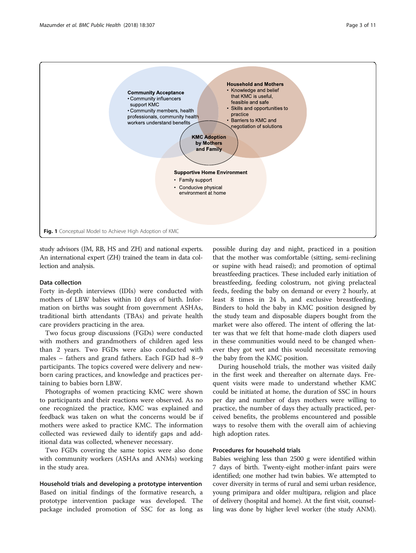<span id="page-2-0"></span>

study advisors (JM, RB, HS and ZH) and national experts. An international expert (ZH) trained the team in data collection and analysis.

## Data collection

Forty in-depth interviews (IDIs) were conducted with mothers of LBW babies within 10 days of birth. Information on births was sought from government ASHAs, traditional birth attendants (TBAs) and private health care providers practicing in the area.

Two focus group discussions (FGDs) were conducted with mothers and grandmothers of children aged less than 2 years. Two FGDs were also conducted with males – fathers and grand fathers. Each FGD had 8–9 participants. The topics covered were delivery and newborn caring practices, and knowledge and practices pertaining to babies born LBW.

Photographs of women practicing KMC were shown to participants and their reactions were observed. As no one recognized the practice, KMC was explained and feedback was taken on what the concerns would be if mothers were asked to practice KMC. The information collected was reviewed daily to identify gaps and additional data was collected, whenever necessary.

Two FGDs covering the same topics were also done with community workers (ASHAs and ANMs) working in the study area.

Household trials and developing a prototype intervention Based on initial findings of the formative research, a prototype intervention package was developed. The package included promotion of SSC for as long as possible during day and night, practiced in a position that the mother was comfortable (sitting, semi-reclining or supine with head raised); and promotion of optimal breastfeeding practices. These included early initiation of breastfeeding, feeding colostrum, not giving prelacteal feeds, feeding the baby on demand or every 2 hourly, at least 8 times in 24 h, and exclusive breastfeeding. Binders to hold the baby in KMC position designed by the study team and disposable diapers bought from the market were also offered. The intent of offering the latter was that we felt that home-made cloth diapers used in these communities would need to be changed whenever they got wet and this would necessitate removing the baby from the KMC position.

During household trials, the mother was visited daily in the first week and thereafter on alternate days. Frequent visits were made to understand whether KMC could be initiated at home, the duration of SSC in hours per day and number of days mothers were willing to practice, the number of days they actually practiced, perceived benefits, the problems encountered and possible ways to resolve them with the overall aim of achieving high adoption rates.

## Procedures for household trials

Babies weighing less than 2500 g were identified within 7 days of birth. Twenty-eight mother-infant pairs were identified; one mother had twin babies. We attempted to cover diversity in terms of rural and semi urban residence, young primipara and older multipara, religion and place of delivery (hospital and home). At the first visit, counselling was done by higher level worker (the study ANM).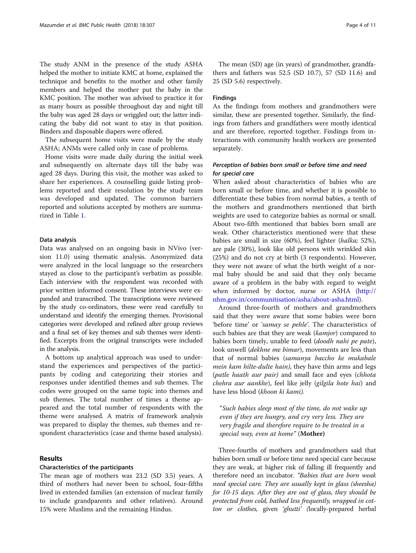The study ANM in the presence of the study ASHA helped the mother to initiate KMC at home, explained the technique and benefits to the mother and other family members and helped the mother put the baby in the KMC position. The mother was advised to practice it for as many hours as possible throughout day and night till the baby was aged 28 days or wriggled out; the latter indicating the baby did not want to stay in that position. Binders and disposable diapers were offered.

The subsequent home visits were made by the study ASHA; ANMs were called only in case of problems.

Home visits were made daily during the initial week and subsequently on alternate days till the baby was aged 28 days. During this visit, the mother was asked to share her experiences. A counselling guide listing problems reported and their resolution by the study team was developed and updated. The common barriers reported and solutions accepted by mothers are summarized in Table [1.](#page-4-0)

## Data analysis

Data was analysed on an ongoing basis in NVivo (version 11.0) using thematic analysis. Anonymized data were analyzed in the local language so the researchers stayed as close to the participant's verbatim as possible. Each interview with the respondent was recorded with prior written informed consent. These interviews were expanded and transcribed. The transcriptions were reviewed by the study co-ordinators, these were read carefully to understand and identify the emerging themes. Provisional categories were developed and refined after group reviews and a final set of key themes and sub themes were identified. Excerpts from the original transcripts were included in the analysis.

A bottom up analytical approach was used to understand the experiences and perspectives of the participants by coding and categorizing their stories and responses under identified themes and sub themes. The codes were grouped on the same topic into themes and sub themes. The total number of times a theme appeared and the total number of respondents with the theme were analysed. A matrix of framework analysis was prepared to display the themes, sub themes and respondent characteristics (case and theme based analysis).

## Results

## Characteristics of the participants

The mean age of mothers was 23.2 (SD 3.5) years. A third of mothers had never been to school, four-fifths lived in extended families (an extension of nuclear family to include grandparents and other relatives). Around 15% were Muslims and the remaining Hindus.

The mean (SD) age (in years) of grandmother, grandfathers and fathers was 52.5 (SD 10.7), 57 (SD 11.6) and 25 (SD 5.6) respectively.

## Findings

As the findings from mothers and grandmothers were similar, these are presented together. Similarly, the findings from fathers and grandfathers were mostly identical and are therefore, reported together. Findings from interactions with community health workers are presented separately.

## Perception of babies born small or before time and need for special care

When asked about characteristics of babies who are born small or before time, and whether it is possible to differentiate these babies from normal babies, a tenth of the mothers and grandmothers mentioned that birth weights are used to categorize babies as normal or small. About two-fifth mentioned that babies born small are weak. Other characteristics mentioned were that these babies are small in size (60%), feel lighter (halka; 52%), are pale (30%), look like old persons with wrinkled skin (25%) and do not cry at birth (3 respondents). However, they were not aware of what the birth weight of a normal baby should be and said that they only became aware of a problem in the baby with regard to weight when informed by doctor, nurse or ASHA [\(http://](http://nhm.gov.in/communitisation/asha/about-asha.html) [nhm.gov.in/communitisation/asha/about-asha.html](http://nhm.gov.in/communitisation/asha/about-asha.html)).

Around three-fourth of mothers and grandmothers said that they were aware that some babies were born 'before time' or 'samay se pehle'. The characteristics of such babies are that they are weak (kamjor) compared to babies born timely, unable to feed (doodh nahi pe pate), look unwell (dekhne me bimar), movements are less than that of normal babies (samanya baccho ke mukabale mein kam hilte-dulte hain), they have thin arms and legs (patle haath aur pair) and small face and eyes (chhota chehra aur aankhe), feel like jelly (gilgila hote hai) and have less blood (khoon ki kami).

"Such babies sleep most of the time, do not wake up even if they are hungry, and cry very less. They are very fragile and therefore require to be treated in a special way, even at home" (Mother)

Three-fourths of mothers and grandmothers said that babies born small or before time need special care because they are weak, at higher risk of falling ill frequently and therefore need an incubator. "Babies that are born weak need special care. They are usually kept in glass (sheesha) for 10-15 days. After they are out of glass, they should be protected from cold, bathed less frequently, wrapped in cotton or clothes, given 'ghutti' (locally-prepared herbal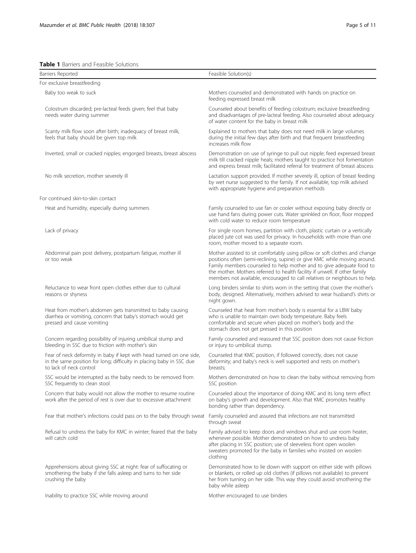## <span id="page-4-0"></span>Table 1 Barriers and Feasible Solutions

| Barriers Reported                                                                                                                                                       | Feasible Solution(s)                                                                                                                                                                                                                                                                                                                                                                        |
|-------------------------------------------------------------------------------------------------------------------------------------------------------------------------|---------------------------------------------------------------------------------------------------------------------------------------------------------------------------------------------------------------------------------------------------------------------------------------------------------------------------------------------------------------------------------------------|
| For exclusive breastfeeding                                                                                                                                             |                                                                                                                                                                                                                                                                                                                                                                                             |
| Baby too weak to suck                                                                                                                                                   | Mothers counseled and demonstrated with hands on practice on<br>feeding expressed breast milk                                                                                                                                                                                                                                                                                               |
| Colostrum discarded; pre-lacteal feeds given; feel that baby<br>needs water during summer                                                                               | Counseled about benefits of feeding colostrum; exclusive breastfeeding<br>and disadvantages of pre-lacteal feeding. Also counseled about adequacy<br>of water content for the baby in breast milk                                                                                                                                                                                           |
| Scanty milk flow soon after birth; inadequacy of breast milk,<br>feels that baby should be given top milk                                                               | Explained to mothers that baby does not need milk in large volumes<br>during the initial few days after birth and that frequent breastfeeding<br>increases milk flow                                                                                                                                                                                                                        |
| Inverted, small or cracked nipples; engorged breasts, breast abscess                                                                                                    | Demonstration on use of syringe to pull out nipple; feed expressed breast<br>milk till cracked nipple heals; mothers taught to practice hot fomentation<br>and express breast milk; facilitated referral for treatment of breast abscess                                                                                                                                                    |
| No milk secretion, mother severely ill                                                                                                                                  | Lactation support provided. If mother severely ill, option of breast feeding<br>by wet nurse suggested to the family. If not available, top milk advised<br>with appropriate hygiene and preparation methods                                                                                                                                                                                |
| For continued skin-to-skin contact                                                                                                                                      |                                                                                                                                                                                                                                                                                                                                                                                             |
| Heat and humidity, especially during summers                                                                                                                            | Family counseled to use fan or cooler without exposing baby directly or<br>use hand fans during power cuts. Water sprinkled on floor, floor mopped<br>with cold water to reduce room temperature                                                                                                                                                                                            |
| Lack of privacy                                                                                                                                                         | For single room homes, partition with cloth, plastic curtain or a vertically<br>placed jute cot was used for privacy. In households with more than one<br>room, mother moved to a separate room.                                                                                                                                                                                            |
| Abdominal pain post delivery, postpartum fatique, mother ill<br>or too weak                                                                                             | Mother assisted to sit comfortably using pillow or soft clothes and change<br>positions often (semi-reclining, supine) or give KMC while moving around.<br>Family members counseled to help mother and to give adequate food to<br>the mother. Mothers referred to health facility if unwell. If other family<br>members not available, encouraged to call relatives or neighbours to help. |
| Reluctance to wear front open clothes either due to cultural<br>reasons or shyness                                                                                      | Long binders similar to shirts worn in the setting that cover the mother's<br>body, designed. Alternatively, mothers advised to wear husband's shirts or<br>night gown.                                                                                                                                                                                                                     |
| Heat from mother's abdomen gets transmitted to baby causing<br>diarrhea or vomiting, concern that baby's stomach would get<br>pressed and cause vomiting                | Counseled that heat from mother's body is essential for a LBW baby<br>who is unable to maintain own body temperature. Baby feels<br>comfortable and secure when placed on mother's body and the<br>stomach does not get pressed in this position                                                                                                                                            |
| Concern regarding possibility of injuring umbilical stump and<br>bleeding in SSC due to friction with mother's skin                                                     | Family counseled and reassured that SSC position does not cause friction<br>or injury to umbilical stump.                                                                                                                                                                                                                                                                                   |
| Fear of neck deformity in baby if kept with head turned on one side,<br>in the same position for long; difficulty in placing baby in SSC due<br>to lack of neck control | Counseled that KMC position, if followed correctly, does not cause<br>deformity; and baby's neck is well supported and rests on mother's<br>breasts;                                                                                                                                                                                                                                        |
| SSC would be interrupted as the baby needs to be removed from<br>SSC frequently to clean stool                                                                          | Mothers demonstrated on how to clean the baby without removing from<br>SSC position                                                                                                                                                                                                                                                                                                         |
| Concern that baby would not allow the mother to resume routine<br>work after the period of rest is over due to excessive attachment                                     | Counseled about the importance of doing KMC and its long term effect<br>on baby's growth and development. Also that KMC promotes healthy<br>bonding rather than dependency.                                                                                                                                                                                                                 |
| Fear that mother's infections could pass on to the baby through sweat                                                                                                   | Family counseled and assured that infections are not transmitted<br>through sweat                                                                                                                                                                                                                                                                                                           |
| Refusal to undress the baby for KMC in winter; feared that the baby<br>will catch cold                                                                                  | Family advised to keep doors and windows shut and use room heater,<br>whenever possible. Mother demonstrated on how to undress baby<br>after placing in SSC position; use of sleeveless front open woolen<br>sweaters promoted for the baby in families who insisted on woolen<br>clothing                                                                                                  |
| Apprehensions about giving SSC at night: fear of suffocating or<br>smothering the baby if she falls asleep and turns to her side<br>crushing the baby                   | Demonstrated how to lie down with support on either side with pillows<br>or blankets, or rolled up old clothes (if pillows not available) to prevent<br>her from turning on her side. This way they could avoid smothering the<br>baby while asleep                                                                                                                                         |
| Inability to practice SSC while moving around                                                                                                                           | Mother encouraged to use binders                                                                                                                                                                                                                                                                                                                                                            |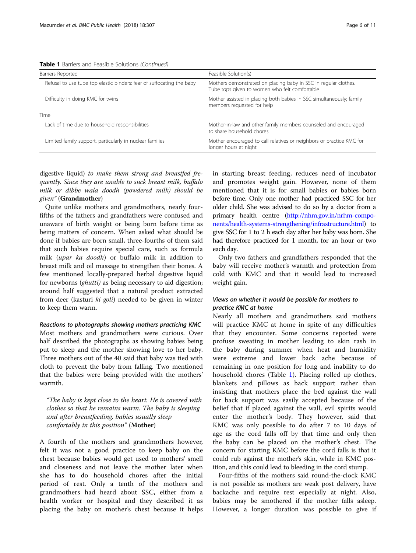Table 1 Barriers and Feasible Solutions (Continued)

| Barriers Reported                                                     | Feasible Solution(s)                                                                                             |
|-----------------------------------------------------------------------|------------------------------------------------------------------------------------------------------------------|
| Refusal to use tube top elastic binders: fear of suffocating the baby | Mothers demonstrated on placing baby in SSC in regular clothes.<br>Tube tops given to women who felt comfortable |
| Difficulty in doing KMC for twins                                     | Mother assisted in placing both babies in SSC simultaneously; family<br>members requested for help               |
| Time                                                                  |                                                                                                                  |
| Lack of time due to household responsibilities                        | Mother-in-law and other family members counseled and encouraged<br>to share household chores.                    |
| Limited family support, particularly in nuclear families              | Mother encouraged to call relatives or neighbors or practice KMC for<br>longer hours at night                    |

digestive liquid) to make them strong and breastfed frequently. Since they are unable to suck breast milk, buffalo milk or dibbe wala doodh (powdered milk) should be given" (Grandmother)

Quite unlike mothers and grandmothers, nearly fourfifths of the fathers and grandfathers were confused and unaware of birth weight or being born before time as being matters of concern. When asked what should be done if babies are born small, three-fourths of them said that such babies require special care, such as formula milk (upar ka doodh) or buffalo milk in addition to breast milk and oil massage to strengthen their bones. A few mentioned locally-prepared herbal digestive liquid for newborns (ghutti) as being necessary to aid digestion; around half suggested that a natural product extracted from deer (kasturi ki goli) needed to be given in winter to keep them warm.

Reactions to photographs showing mothers practicing KMC Most mothers and grandmothers were curious. Over half described the photographs as showing babies being put to sleep and the mother showing love to her baby. Three mothers out of the 40 said that baby was tied with cloth to prevent the baby from falling. Two mentioned that the babies were being provided with the mothers' warmth.

"The baby is kept close to the heart. He is covered with clothes so that he remains warm. The baby is sleeping and after breastfeeding, babies usually sleep comfortably in this position" (Mother)

A fourth of the mothers and grandmothers however, felt it was not a good practice to keep baby on the chest because babies would get used to mothers' smell and closeness and not leave the mother later when she has to do household chores after the initial period of rest. Only a tenth of the mothers and grandmothers had heard about SSC, either from a health worker or hospital and they described it as placing the baby on mother's chest because it helps in starting breast feeding, reduces need of incubator and promotes weight gain. However, none of them mentioned that it is for small babies or babies born before time. Only one mother had practiced SSC for her older child. She was advised to do so by a doctor from a primary health centre [\(http://nhm.gov.in/nrhm-compo](http://nhm.gov.in/nrhm-components/health-systems-strengthening/infrastructure.html)[nents/health-systems-strengthening/infrastructure.html](http://nhm.gov.in/nrhm-components/health-systems-strengthening/infrastructure.html)) to give SSC for 1 to 2 h each day after her baby was born. She had therefore practiced for 1 month, for an hour or two each day.

Only two fathers and grandfathers responded that the baby will receive mother's warmth and protection from cold with KMC and that it would lead to increased weight gain.

## Views on whether it would be possible for mothers to practice KMC at home

Nearly all mothers and grandmothers said mothers will practice KMC at home in spite of any difficulties that they encounter. Some concerns reported were profuse sweating in mother leading to skin rash in the baby during summer when heat and humidity were extreme and lower back ache because of remaining in one position for long and inability to do household chores (Table [1\)](#page-4-0). Placing rolled up clothes, blankets and pillows as back support rather than insisting that mothers place the bed against the wall for back support was easily accepted because of the belief that if placed against the wall, evil spirits would enter the mother's body. They however, said that KMC was only possible to do after 7 to 10 days of age as the cord falls off by that time and only then the baby can be placed on the mother's chest. The concern for starting KMC before the cord falls is that it could rub against the mother's skin, while in KMC position, and this could lead to bleeding in the cord stump.

Four-fifths of the mothers said round-the-clock KMC is not possible as mothers are weak post delivery, have backache and require rest especially at night. Also, babies may be smothered if the mother falls asleep. However, a longer duration was possible to give if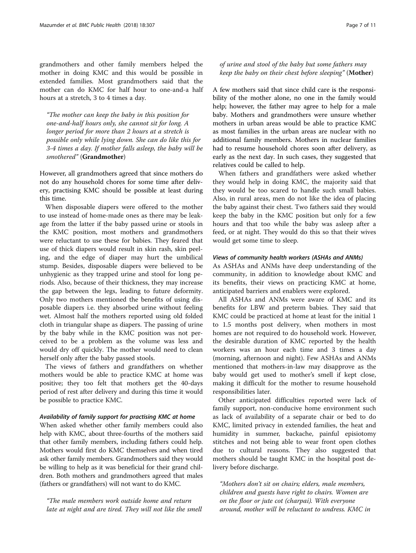grandmothers and other family members helped the mother in doing KMC and this would be possible in extended families. Most grandmothers said that the mother can do KMC for half hour to one-and-a half hours at a stretch, 3 to 4 times a day.

"The mother can keep the baby in this position for one-and-half hours only, she cannot sit for long. A longer period for more than 2 hours at a stretch is possible only while lying down. She can do like this for 3-4 times a day. If mother falls asleep, the baby will be smothered" (Grandmother)

However, all grandmothers agreed that since mothers do not do any household chores for some time after delivery, practising KMC should be possible at least during this time.

When disposable diapers were offered to the mother to use instead of home-made ones as there may be leakage from the latter if the baby passed urine or stools in the KMC position, most mothers and grandmothers were reluctant to use these for babies. They feared that use of thick diapers would result in skin rash, skin peeling, and the edge of diaper may hurt the umbilical stump. Besides, disposable diapers were believed to be unhygienic as they trapped urine and stool for long periods. Also, because of their thickness, they may increase the gap between the legs, leading to future deformity. Only two mothers mentioned the benefits of using disposable diapers i.e. they absorbed urine without feeling wet. Almost half the mothers reported using old folded cloth in triangular shape as diapers. The passing of urine by the baby while in the KMC position was not perceived to be a problem as the volume was less and would dry off quickly. The mother would need to clean herself only after the baby passed stools.

The views of fathers and grandfathers on whether mothers would be able to practice KMC at home was positive; they too felt that mothers get the 40-days period of rest after delivery and during this time it would be possible to practice KMC.

## Availability of family support for practising KMC at home

When asked whether other family members could also help with KMC, about three-fourths of the mothers said that other family members, including fathers could help. Mothers would first do KMC themselves and when tired ask other family members. Grandmothers said they would be willing to help as it was beneficial for their grand children. Both mothers and grandmothers agreed that males (fathers or grandfathers) will not want to do KMC.

"The male members work outside home and return late at night and are tired. They will not like the smell of urine and stool of the baby but some fathers may keep the baby on their chest before sleeping" (Mother)

A few mothers said that since child care is the responsibility of the mother alone, no one in the family would help; however, the father may agree to help for a male baby. Mothers and grandmothers were unsure whether mothers in urban areas would be able to practice KMC as most families in the urban areas are nuclear with no additional family members. Mothers in nuclear families had to resume household chores soon after delivery, as early as the next day. In such cases, they suggested that relatives could be called to help.

When fathers and grandfathers were asked whether they would help in doing KMC, the majority said that they would be too scared to handle such small babies. Also, in rural areas, men do not like the idea of placing the baby against their chest. Two fathers said they would keep the baby in the KMC position but only for a few hours and that too while the baby was asleep after a feed, or at night. They would do this so that their wives would get some time to sleep.

#### Views of community health workers (ASHAs and ANMs)

As ASHAs and ANMs have deep understanding of the community, in addition to knowledge about KMC and its benefits, their views on practicing KMC at home, anticipated barriers and enablers were explored.

All ASHAs and ANMs were aware of KMC and its benefits for LBW and preterm babies. They said that KMC could be practiced at home at least for the initial 1 to 1.5 months post delivery, when mothers in most homes are not required to do household work. However, the desirable duration of KMC reported by the health workers was an hour each time and 3 times a day (morning, afternoon and night). Few ASHAs and ANMs mentioned that mothers-in-law may disapprove as the baby would get used to mother's smell if kept close, making it difficult for the mother to resume household responsibilities later.

Other anticipated difficulties reported were lack of family support, non-conducive home environment such as lack of availability of a separate chair or bed to do KMC, limited privacy in extended families, the heat and humidity in summer, backache, painful episiotomy stitches and not being able to wear front open clothes due to cultural reasons. They also suggested that mothers should be taught KMC in the hospital post delivery before discharge.

"Mothers don't sit on chairs; elders, male members, children and guests have right to chairs. Women are on the floor or jute cot (charpai). With everyone around, mother will be reluctant to undress. KMC in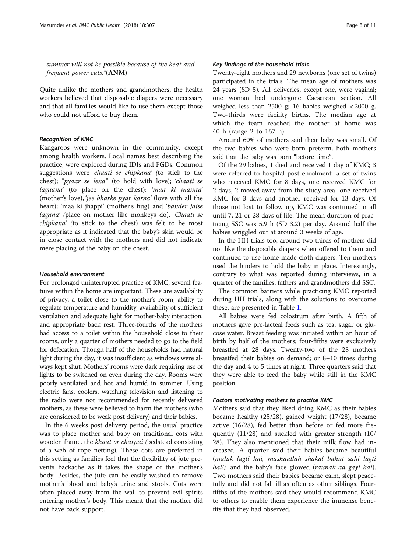summer will not be possible because of the heat and frequent power cuts."(ANM)

Quite unlike the mothers and grandmothers, the health workers believed that disposable diapers were necessary and that all families would like to use them except those who could not afford to buy them.

#### Recognition of KMC

Kangaroos were unknown in the community, except among health workers. Local names best describing the practice, were explored during IDIs and FGDs. Common suggestions were 'chaati se chipkana' (to stick to the chest); "pyaar se lena" (to hold with love); 'chaati se lagaana' (to place on the chest); 'maa ki mamta' (mother's love), 'jee bharke pyar karna' (love with all the heart); 'maa ki jhappi' (mother's hug) and 'bander jaise lagana' (place on mother like monkeys do). 'Chaati se chipkana' (to stick to the chest) was felt to be most appropriate as it indicated that the baby's skin would be in close contact with the mothers and did not indicate mere placing of the baby on the chest.

#### Household environment

For prolonged uninterrupted practice of KMC, several features within the home are important. These are availability of privacy, a toilet close to the mother's room, ability to regulate temperature and humidity, availability of sufficient ventilation and adequate light for mother-baby interaction, and appropriate back rest. Three-fourths of the mothers had access to a toilet within the household close to their rooms, only a quarter of mothers needed to go to the field for defecation. Though half of the households had natural light during the day, it was insufficient as windows were always kept shut. Mothers' rooms were dark requiring use of lights to be switched on even during the day. Rooms were poorly ventilated and hot and humid in summer. Using electric fans, coolers, watching television and listening to the radio were not recommended for recently delivered mothers, as these were believed to harm the mothers (who are considered to be weak post delivery) and their babies.

In the 6 weeks post delivery period, the usual practice was to place mother and baby on traditional cots with wooden frame, the khaat or charpai (bedstead consisting of a web of rope netting). These cots are preferred in this setting as families feel that the flexibility of jute prevents backache as it takes the shape of the mother's body. Besides, the jute can be easily washed to remove mother's blood and baby's urine and stools. Cots were often placed away from the wall to prevent evil spirits entering mother's body. This meant that the mother did not have back support.

## Key findings of the household trials

Twenty-eight mothers and 29 newborns (one set of twins) participated in the trials. The mean age of mothers was 24 years (SD 5). All deliveries, except one, were vaginal; one woman had undergone Caesarean section. All weighed less than 2500 g; 16 babies weighed < 2000 g. Two-thirds were facility births. The median age at which the team reached the mother at home was 40 h (range 2 to 167 h).

Around 60% of mothers said their baby was small. Of the two babies who were born preterm, both mothers said that the baby was born "before time".

Of the 29 babies, 1 died and received 1 day of KMC; 3 were referred to hospital post enrolment- a set of twins who received KMC for 8 days, one received KMC for 2 days, 2 moved away from the study area- one received KMC for 3 days and another received for 13 days. Of those not lost to follow up, KMC was continued in all until 7, 21 or 28 days of life. The mean duration of practicing SSC was 5.9 h (SD 3.2) per day. Around half the babies wriggled out at around 3 weeks of age.

In the HH trials too, around two-thirds of mothers did not like the disposable diapers when offered to them and continued to use home-made cloth diapers. Ten mothers used the binders to hold the baby in place. Interestingly, contrary to what was reported during interviews, in a quarter of the families, fathers and grandmothers did SSC.

The common barriers while practicing KMC reported during HH trials, along with the solutions to overcome these, are presented in Table [1.](#page-4-0)

All babies were fed colostrum after birth. A fifth of mothers gave pre-lacteal feeds such as tea, sugar or glucose water. Breast feeding was initiated within an hour of birth by half of the mothers; four-fifths were exclusively breastfed at 28 days. Twenty-two of the 28 mothers breastfed their babies on demand; or 8–10 times during the day and 4 to 5 times at night. Three quarters said that they were able to feed the baby while still in the KMC position.

## Factors motivating mothers to practice KMC

Mothers said that they liked doing KMC as their babies became healthy (25/28), gained weight (17/28), became active (16/28), fed better than before or fed more frequently (11/28) and suckled with greater strength (10/ 28). They also mentioned that their milk flow had increased. A quarter said their babies became beautiful (maluk lagti hai, mashaallah shakal bahut sahi lagti hai!), and the baby's face glowed (raunak aa gayi hai). Two mothers said their babies became calm, slept peacefully and did not fall ill as often as other siblings. Fourfifths of the mothers said they would recommend KMC to others to enable them experience the immense benefits that they had observed.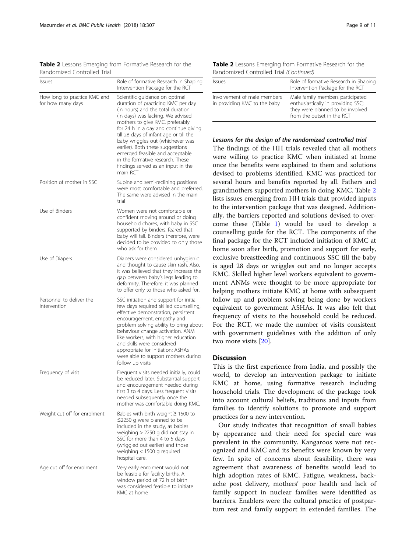Table 2 Lessons Emerging from Formative Research for the Randomized Controlled Trial

| <b>Issues</b>                                     | Role of formative Research in Shaping<br>Intervention Package for the RCT                                                                                                                                                                                                                                                                                                                                                                                               |
|---------------------------------------------------|-------------------------------------------------------------------------------------------------------------------------------------------------------------------------------------------------------------------------------------------------------------------------------------------------------------------------------------------------------------------------------------------------------------------------------------------------------------------------|
| How long to practice KMC and<br>for how many days | Scientific guidance on optimal<br>duration of practicing KMC per day<br>(in hours) and the total duration<br>(in days) was lacking. We advised<br>mothers to give KMC, preferably<br>for 24 h in a day and continue giving<br>till 28 days of infant age or till the<br>baby wriggles out (whichever was<br>earlier). Both these suggestions<br>emerged feasible and acceptable<br>in the formative research. These<br>findings served as an input in the<br>$main$ RCT |
| Position of mother in SSC                         | Supine and semi-reclining positions<br>were most comfortable and preferred.<br>The same were advised in the main<br>trial                                                                                                                                                                                                                                                                                                                                               |
| Use of Binders                                    | Women were not comfortable or<br>confident moving around or doing<br>household chores, with baby in SSC<br>supported by binders, feared that<br>baby will fall. Binders therefore, were<br>decided to be provided to only those<br>who ask for them                                                                                                                                                                                                                     |
| Use of Diapers                                    | Diapers were considered unhygienic<br>and thought to cause skin rash. Also,<br>it was believed that they increase the<br>gap between baby's legs leading to<br>deformity. Therefore, it was planned<br>to offer only to those who asked for.                                                                                                                                                                                                                            |
| Personnel to deliver the<br>intervention          | SSC initiation and support for initial<br>few days required skilled counselling,<br>effective demonstration, persistent<br>encouragement, empathy and<br>problem solving ability to bring about<br>behaviour change activation. ANM<br>like workers, with higher education<br>and skills were considered<br>appropriate for initiation; ASHAs<br>were able to support mothers during<br>follow up visits                                                                |
| Frequency of visit                                | Frequent visits needed initially, could<br>be reduced later. Substantial support<br>and encouragement needed during<br>first 3 to 4 days. Less frequent visits<br>needed subsequently once the<br>mother was comfortable doing KMC.                                                                                                                                                                                                                                     |
| Weight cut off for enrolment                      | Babies with birth weight $\geq$ 1500 to<br>≤2250 g were planned to be<br>included in the study, as babies<br>weighing > 2250 g did not stay in<br>SSC for more than 4 to 5 days<br>(wriggled out earlier) and those<br>weighing $<$ 1500 g required<br>hospital care.                                                                                                                                                                                                   |
| Age cut off for enrolment                         | Very early enrolment would not<br>be feasible for facility births. A<br>window period of 72 h of birth<br>was considered feasible to initiate<br>KMC at home                                                                                                                                                                                                                                                                                                            |

| <b>Table 2</b> Lessons Emerging from Formative Research for the |  |
|-----------------------------------------------------------------|--|
| Randomized Controlled Trial (Continued)                         |  |

| <b>Issues</b>                                               | Role of formative Research in Shaping<br>Intervention Package for the RCT                                                                |  |
|-------------------------------------------------------------|------------------------------------------------------------------------------------------------------------------------------------------|--|
| Involvement of male members<br>in providing KMC to the baby | Male family members participated<br>enthusiastically in providing SSC;<br>they were planned to be involved<br>from the outset in the RCT |  |

## Lessons for the design of the randomized controlled trial

The findings of the HH trials revealed that all mothers were willing to practice KMC when initiated at home once the benefits were explained to them and solutions devised to problems identified. KMC was practiced for several hours and benefits reported by all. Fathers and grandmothers supported mothers in doing KMC. Table 2 lists issues emerging from HH trials that provided inputs to the intervention package that was designed. Additionally, the barriers reported and solutions devised to overcome these (Table [1](#page-4-0)) would be used to develop a counselling guide for the RCT. The components of the final package for the RCT included initiation of KMC at home soon after birth, promotion and support for early, exclusive breastfeeding and continuous SSC till the baby is aged 28 days or wriggles out and no longer accepts KMC. Skilled higher level workers equivalent to government ANMs were thought to be more appropriate for helping mothers initiate KMC at home with subsequent follow up and problem solving being done by workers equivalent to government ASHAs. It was also felt that frequency of visits to the household could be reduced. For the RCT, we made the number of visits consistent with government guidelines with the addition of only two more visits [[20\]](#page-10-0).

## Discussion

This is the first experience from India, and possibly the world, to develop an intervention package to initiate KMC at home, using formative research including household trials. The development of the package took into account cultural beliefs, traditions and inputs from families to identify solutions to promote and support practices for a new intervention.

Our study indicates that recognition of small babies by appearance and their need for special care was prevalent in the community. Kangaroos were not recognized and KMC and its benefits were known by very few. In spite of concerns about feasibility, there was agreement that awareness of benefits would lead to high adoption rates of KMC. Fatigue, weakness, backache post delivery, mothers' poor health and lack of family support in nuclear families were identified as barriers. Enablers were the cultural practice of postpartum rest and family support in extended families. The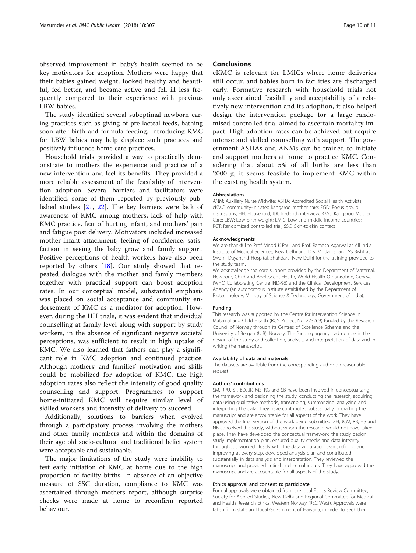observed improvement in baby's health seemed to be key motivators for adoption. Mothers were happy that their babies gained weight, looked healthy and beautiful, fed better, and became active and fell ill less frequently compared to their experience with previous LBW babies.

The study identified several suboptimal newborn caring practices such as giving of pre-lacteal feeds, bathing soon after birth and formula feeding. Introducing KMC for LBW babies may help displace such practices and positively influence home care practices.

Household trials provided a way to practically demonstrate to mothers the experience and practice of a new intervention and feel its benefits. They provided a more reliable assessment of the feasibility of intervention adoption. Several barriers and facilitators were identified, some of them reported by previously published studies [[21,](#page-10-0) [22\]](#page-10-0). The key barriers were lack of awareness of KMC among mothers, lack of help with KMC practice, fear of hurting infant, and mothers' pain and fatigue post delivery. Motivators included increased mother-infant attachment, feeling of confidence, satisfaction in seeing the baby grow and family support. Positive perceptions of health workers have also been reported by others [\[18](#page-10-0)]. Our study showed that repeated dialogue with the mother and family members together with practical support can boost adoption rates. In our conceptual model, substantial emphasis was placed on social acceptance and community endorsement of KMC as a mediator for adoption. However, during the HH trials, it was evident that individual counselling at family level along with support by study workers, in the absence of significant negative societal perceptions, was sufficient to result in high uptake of KMC. We also learned that fathers can play a significant role in KMC adoption and continued practice. Although mothers' and families' motivation and skills could be mobilized for adoption of KMC, the high adoption rates also reflect the intensity of good quality counselling and support. Programmes to support home-initiated KMC will require similar level of skilled workers and intensity of delivery to succeed.

Additionally, solutions to barriers when evolved through a participatory process involving the mothers and other family members and within the domains of their age old socio-cultural and traditional belief system were acceptable and sustainable.

The major limitations of the study were inability to test early initiation of KMC at home due to the high proportion of facility births. In absence of an objective measure of SSC duration, compliance to KMC was ascertained through mothers report, although surprise checks were made at home to reconfirm reported behaviour.

## **Conclusions**

cKMC is relevant for LMICs where home deliveries still occur, and babies born in facilities are discharged early. Formative research with household trials not only ascertained feasibility and acceptability of a relatively new intervention and its adoption, it also helped design the intervention package for a large randomised controlled trial aimed to ascertain mortality impact. High adoption rates can be achieved but require intense and skilled counselling with support. The government ASHAs and ANMs can be trained to initiate and support mothers at home to practice KMC. Considering that about 5% of all births are less than 2000 g, it seems feasible to implement KMC within the existing health system.

#### Abbreviations

ANM: Auxiliary Nurse Midwife; ASHA: Accredited Social Health Activists; cKMC: community-initiated kangaroo mother care; FGD: Focus group discussions; HH: Household; IDI: In-depth interview; KMC: Kangaroo Mother Care; LBW: Low birth weight; LMIC: Low and middle income countries; RCT: Randomized controlled trial; SSC: Skin-to-skin contact

#### Acknowledgments

We are thankful to Prof. Vinod K Paul and Prof. Ramesh Agarwal at All India Institute of Medical Sciences, New Delhi and Drs. ML Jaipal and SS Bisht at Swami Dayanand Hospital, Shahdara, New Delhi for the training provided to the study team.

We acknowledge the core support provided by the Department of Maternal, Newborn, Child and Adolescent Health, World Health Organisation, Geneva (WHO Collaborating Centre IND-96) and the Clinical Development Services Agency (an autonomous institute established by the Department of Biotechnology, Ministry of Science & Technology, Government of India).

#### Funding

This research was supported by the Centre for Intervention Science in Maternal and Child Health (RCN Project No. 223269) funded by the Research Council of Norway through its Centres of Excellence Scheme and the University of Bergen (UiB), Norway. The funding agency had no role in the design of the study and collection, analysis, and interpretation of data and in writing the manuscript.

#### Availability of data and materials

The datasets are available from the corresponding author on reasonable request.

#### Authors' contributions

SM, RPU, ST, BD, JK, MS, RG and SB have been involved in conceptualizing the framework and designing the study, conducting the research, acquiring data using qualitative methods, transcribing, summarizing, analyzing and interpreting the data. They have contributed substantially in drafting the manuscript and are accountable for all aspects of the work. They have approved the final version of the work being submitted. ZH, JCM, RB, HS and NB conceived the study, without whom the research would not have taken place. They have developed the conceptual framework, the study design, study implementation plan, ensured quality checks and data integrity throughout, worked closely with the data acquisition team, refining and improving at every step, developed analysis plan and contributed substantially in data analysis and interpretation. They reviewed the manuscript and provided critical intellectual inputs. They have approved the manuscript and are accountable for all aspects of the study.

#### Ethics approval and consent to participate

Formal approvals were obtained from the local Ethics Review Committee, Society for Applied Studies, New Delhi and Regional Committee for Medical and Health Research Ethics, Western Norway (REC West). Approvals were taken from state and local Government of Haryana, in order to seek their